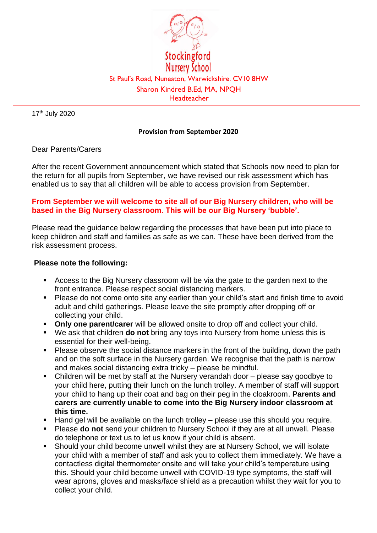

17th July 2020

## **Provision from September 2020**

## Dear Parents/Carers

After the recent Government announcement which stated that Schools now need to plan for the return for all pupils from September, we have revised our risk assessment which has enabled us to say that all children will be able to access provision from September.

## **From September we will welcome to site all of our Big Nursery children, who will be based in the Big Nursery classroom**. **This will be our Big Nursery 'bubble'.**

Please read the guidance below regarding the processes that have been put into place to keep children and staff and families as safe as we can. These have been derived from the risk assessment process.

## **Please note the following:**

- Access to the Big Nursery classroom will be via the gate to the garden next to the front entrance. Please respect social distancing markers.
- Please do not come onto site any earlier than your child's start and finish time to avoid adult and child gatherings. Please leave the site promptly after dropping off or collecting your child.
- **Only one parent/carer** will be allowed onsite to drop off and collect your child.
- We ask that children **do not** bring any toys into Nursery from home unless this is essential for their well-being.
- Please observe the social distance markers in the front of the building, down the path and on the soft surface in the Nursery garden. We recognise that the path is narrow and makes social distancing extra tricky – please be mindful.
- Children will be met by staff at the Nursery verandah door please say goodbye to your child here, putting their lunch on the lunch trolley. A member of staff will support your child to hang up their coat and bag on their peg in the cloakroom. **Parents and carers are currently unable to come into the Big Nursery indoor classroom at this time.**
- Hand gel will be available on the lunch trolley please use this should you require.
- Please **do not** send your children to Nursery School if they are at all unwell. Please do telephone or text us to let us know if your child is absent.
- Should your child become unwell whilst they are at Nursery School, we will isolate your child with a member of staff and ask you to collect them immediately. We have a contactless digital thermometer onsite and will take your child's temperature using this. Should your child become unwell with COVID-19 type symptoms, the staff will wear aprons, gloves and masks/face shield as a precaution whilst they wait for you to collect your child.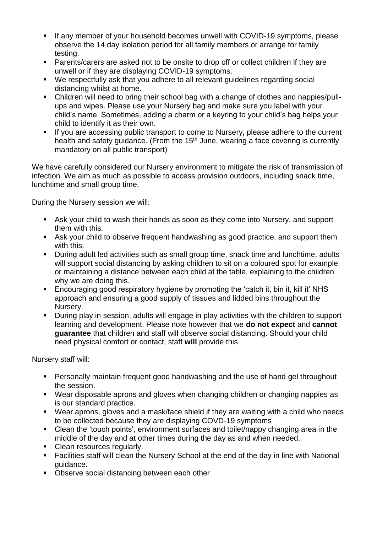- If any member of your household becomes unwell with COVID-19 symptoms, please observe the 14 day isolation period for all family members or arrange for family testing.
- Parents/carers are asked not to be onsite to drop off or collect children if they are unwell or if they are displaying COVID-19 symptoms.
- We respectfully ask that you adhere to all relevant guidelines regarding social distancing whilst at home.
- Children will need to bring their school bag with a change of clothes and nappies/pullups and wipes. Please use your Nursery bag and make sure you label with your child's name. Sometimes, adding a charm or a keyring to your child's bag helps your child to identify it as their own.
- If you are accessing public transport to come to Nursery, please adhere to the current health and safety guidance. (From the 15<sup>th</sup> June, wearing a face covering is currently mandatory on all public transport)

We have carefully considered our Nursery environment to mitigate the risk of transmission of infection. We aim as much as possible to access provision outdoors, including snack time, lunchtime and small group time.

During the Nursery session we will:

- Ask your child to wash their hands as soon as they come into Nursery, and support them with this.
- Ask your child to observe frequent handwashing as good practice, and support them with this.
- During adult led activities such as small group time, snack time and lunchtime, adults will support social distancing by asking children to sit on a coloured spot for example, or maintaining a distance between each child at the table, explaining to the children why we are doing this.
- Encouraging good respiratory hygiene by promoting the 'catch it, bin it, kill it' NHS approach and ensuring a good supply of tissues and lidded bins throughout the Nursery.
- During play in session, adults will engage in play activities with the children to support learning and development. Please note however that we **do not expect** and **cannot guarantee** that children and staff will observe social distancing. Should your child need physical comfort or contact, staff **will** provide this.

Nursery staff will:

- Personally maintain frequent good handwashing and the use of hand gel throughout the session.
- Wear disposable aprons and gloves when changing children or changing nappies as is our standard practice.
- Wear aprons, gloves and a mask/face shield if they are waiting with a child who needs to be collected because they are displaying COVD-19 symptoms
- Clean the 'touch points', environment surfaces and toilet/nappy changing area in the middle of the day and at other times during the day as and when needed.
- Clean resources regularly.
- Facilities staff will clean the Nursery School at the end of the day in line with National guidance.
- Observe social distancing between each other